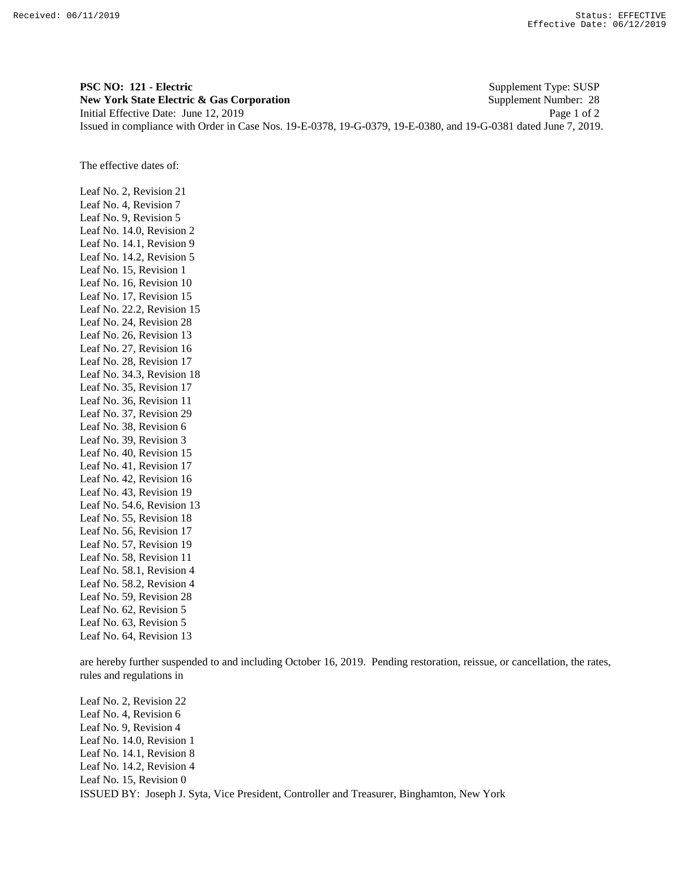**PSC NO: 121 - Electric** Supplement Type: SUSP **New York State Electric & Gas Corporation** Supplement Number: 28 Initial Effective Date: June 12, 2019 Page 1 of 2 Issued in compliance with Order in Case Nos. 19-E-0378, 19-G-0379, 19-E-0380, and 19-G-0381 dated June 7, 2019.

The effective dates of:

Leaf No. 2, Revision 21 Leaf No. 4, Revision 7 Leaf No. 9, Revision 5 Leaf No. 14.0, Revision 2 Leaf No. 14.1, Revision 9 Leaf No. 14.2, Revision 5 Leaf No. 15, Revision 1 Leaf No. 16, Revision 10 Leaf No. 17, Revision 15 Leaf No. 22.2, Revision 15 Leaf No. 24, Revision 28 Leaf No. 26, Revision 13 Leaf No. 27, Revision 16 Leaf No. 28, Revision 17 Leaf No. 34.3, Revision 18 Leaf No. 35, Revision 17 Leaf No. 36, Revision 11 Leaf No. 37, Revision 29 Leaf No. 38, Revision 6 Leaf No. 39, Revision 3 Leaf No. 40, Revision 15 Leaf No. 41, Revision 17 Leaf No. 42, Revision 16 Leaf No. 43, Revision 19 Leaf No. 54.6, Revision 13 Leaf No. 55, Revision 18 Leaf No. 56, Revision 17 Leaf No. 57, Revision 19 Leaf No. 58, Revision 11 Leaf No. 58.1, Revision 4 Leaf No. 58.2, Revision 4 Leaf No. 59, Revision 28 Leaf No. 62, Revision 5 Leaf No. 63, Revision 5 Leaf No. 64, Revision 13

are hereby further suspended to and including October 16, 2019. Pending restoration, reissue, or cancellation, the rates, rules and regulations in

ISSUED BY: Joseph J. Syta, Vice President, Controller and Treasurer, Binghamton, New York Leaf No. 2, Revision 22 Leaf No. 4, Revision 6 Leaf No. 9, Revision 4 Leaf No. 14.0, Revision 1 Leaf No. 14.1, Revision 8 Leaf No. 14.2, Revision 4 Leaf No. 15, Revision 0